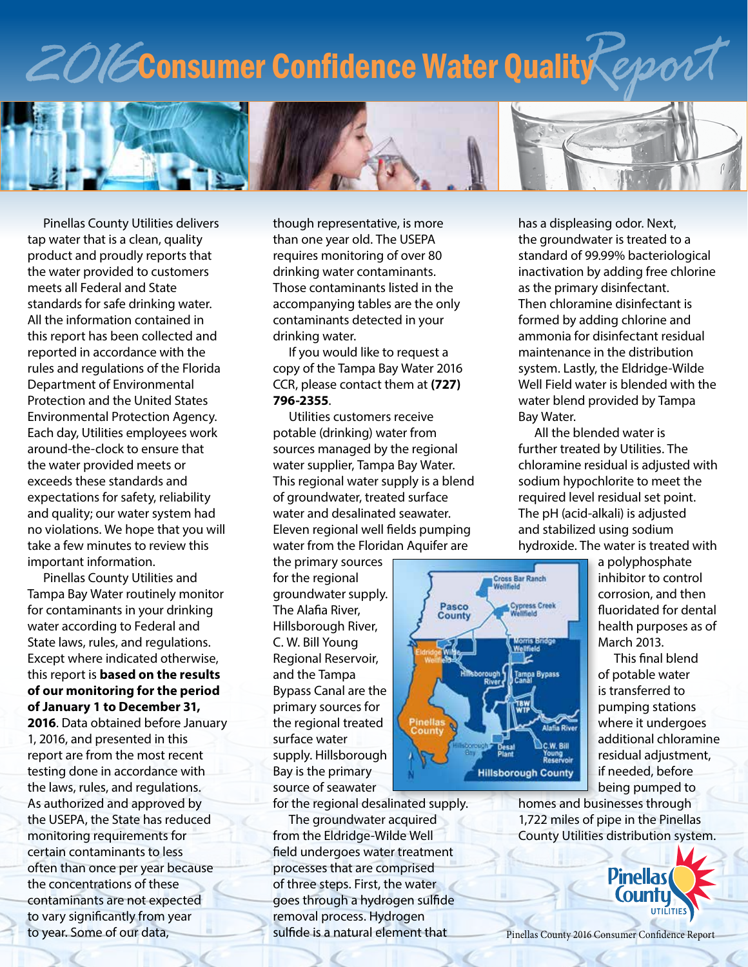# *2016*Consumer Confidence Water Quality*Report*



Pinellas County Utilities delivers tap water that is a clean, quality product and proudly reports that the water provided to customers meets all Federal and State standards for safe drinking water. All the information contained in this report has been collected and reported in accordance with the rules and regulations of the Florida Department of Environmental Protection and the United States Environmental Protection Agency. Each day, Utilities employees work around-the-clock to ensure that the water provided meets or exceeds these standards and expectations for safety, reliability and quality; our water system had no violations. We hope that you will take a few minutes to review this important information.

Pinellas County Utilities and Tampa Bay Water routinely monitor for contaminants in your drinking water according to Federal and State laws, rules, and regulations. Except where indicated otherwise, this report is **based on the results of our monitoring for the period of January 1 to December 31, 2016**. Data obtained before January 1, 2016, and presented in this report are from the most recent testing done in accordance with the laws, rules, and regulations. As authorized and approved by the USEPA, the State has reduced monitoring requirements for certain contaminants to less often than once per year because the concentrations of these contaminants are not expected to vary significantly from year to year. Some of our data,

though representative, is more than one year old. The USEPA requires monitoring of over 80 drinking water contaminants. Those contaminants listed in the accompanying tables are the only contaminants detected in your drinking water.

If you would like to request a copy of the Tampa Bay Water 2016 CCR, please contact them at **(727) 796-2355**.

Utilities customers receive potable (drinking) water from sources managed by the regional water supplier, Tampa Bay Water. This regional water supply is a blend of groundwater, treated surface water and desalinated seawater. Eleven regional well fields pumping water from the Floridan Aquifer are

the primary sources for the regional groundwater supply. The Alafia River, Hillsborough River, C. W. Bill Young Regional Reservoir, and the Tampa Bypass Canal are the primary sources for the regional treated surface water supply. Hillsborough Bay is the primary source of seawater

for the regional desalinated supply.

The groundwater acquired from the Eldridge-Wilde Well field undergoes water treatment processes that are comprised of three steps. First, the water goes through a hydrogen sulfide removal process. Hydrogen sulfide is a natural element that

has a displeasing odor. Next, the groundwater is treated to a standard of 99.99% bacteriological inactivation by adding free chlorine as the primary disinfectant. Then chloramine disinfectant is formed by adding chlorine and ammonia for disinfectant residual maintenance in the distribution system. Lastly, the Eldridge-Wilde Well Field water is blended with the water blend provided by Tampa Bay Water.

All the blended water is further treated by Utilities. The chloramine residual is adjusted with sodium hypochlorite to meet the required level residual set point. The pH (acid-alkali) is adjusted and stabilized using sodium hydroxide. The water is treated with



a polyphosphate inhibitor to control corrosion, and then fluoridated for dental health purposes as of March 2013.

This final blend of potable water is transferred to pumping stations where it undergoes additional chloramine residual adjustment, if needed, before being pumped to

homes and businesses through 1,722 miles of pipe in the Pinellas County Utilities distribution system.

> **Pinellas Countu UTILITIES**

Pinellas County 2016 Consumer Confidence Report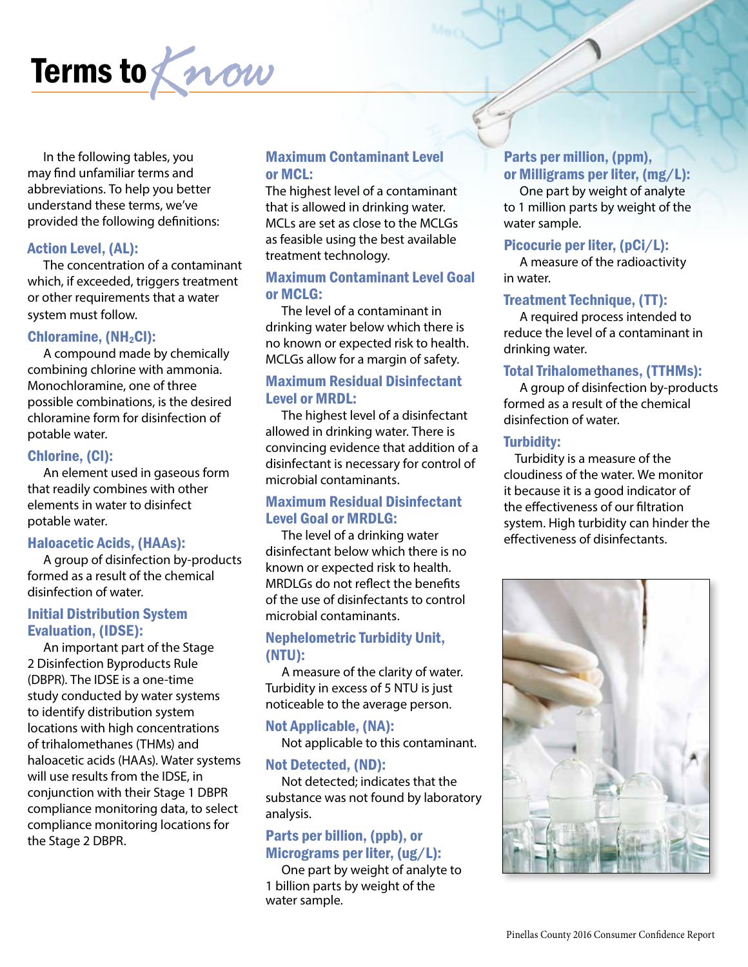

In the following tables, you may find unfamiliar terms and abbreviations. To help you better understand these terms, we've provided the following definitions:

#### Action Level, (AL):

The concentration of a contaminant which, if exceeded, triggers treatment or other requirements that a water system must follow.

#### Chloramine,  $(NH<sub>2</sub>Cl)$ :

A compound made by chemically combining chlorine with ammonia. Monochloramine, one of three possible combinations, is the desired chloramine form for disinfection of potable water.

#### Chlorine, (Cl):

An element used in gaseous form that readily combines with other elements in water to disinfect potable water.

#### Haloacetic Acids, (HAAs):

A group of disinfection by-products formed as a result of the chemical disinfection of water.

#### Initial Distribution System Evaluation, (IDSE):

An important part of the Stage 2 Disinfection Byproducts Rule (DBPR). The IDSE is a one-time study conducted by water systems to identify distribution system locations with high concentrations of trihalomethanes (THMs) and haloacetic acids (HAAs). Water systems will use results from the IDSE, in conjunction with their Stage 1 DBPR compliance monitoring data, to select compliance monitoring locations for the Stage 2 DBPR.

#### Maximum Contaminant Level or MCL:

The highest level of a contaminant that is allowed in drinking water. MCLs are set as close to the MCLGs as feasible using the best available treatment technology.

#### Maximum Contaminant Level Goal or MCLG:

The level of a contaminant in drinking water below which there is no known or expected risk to health. MCLGs allow for a margin of safety.

#### Maximum Residual Disinfectant Level or MRDL:

The highest level of a disinfectant allowed in drinking water. There is convincing evidence that addition of a disinfectant is necessary for control of microbial contaminants.

#### Maximum Residual Disinfectant Level Goal or MRDLG:

The level of a drinking water disinfectant below which there is no known or expected risk to health. MRDLGs do not reflect the benefits of the use of disinfectants to control microbial contaminants.

#### Nephelometric Turbidity Unit, (NTU):

A measure of the clarity of water. Turbidity in excess of 5 NTU is just noticeable to the average person.

### Not Applicable, (NA):

Not applicable to this contaminant.

#### Not Detected, (ND):

Not detected; indicates that the substance was not found by laboratory analysis.

#### Parts per billion, (ppb), or Micrograms per liter, (ug/L):

One part by weight of analyte to 1 billion parts by weight of the water sample.

#### Parts per million, (ppm), or Milligrams per liter, (mg/L):

One part by weight of analyte to 1 million parts by weight of the water sample.

#### Picocurie per liter, (pCi/L):

A measure of the radioactivity in water.

#### Treatment Technique, (TT):

A required process intended to reduce the level of a contaminant in drinking water.

#### Total Trihalomethanes, (TTHMs):

A group of disinfection by-products formed as a result of the chemical disinfection of water.

#### Turbidity:

Turbidity is a measure of the cloudiness of the water. We monitor it because it is a good indicator of the effectiveness of our filtration system. High turbidity can hinder the effectiveness of disinfectants.

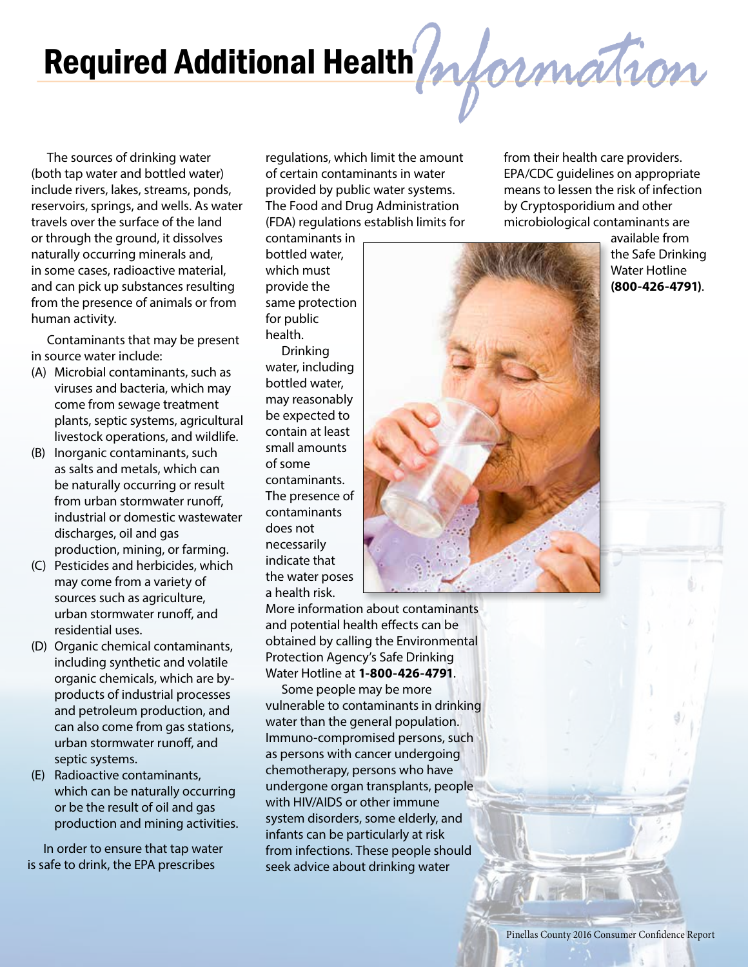# Required Additional Health*Information*

The sources of drinking water (both tap water and bottled water) include rivers, lakes, streams, ponds, reservoirs, springs, and wells. As water travels over the surface of the land or through the ground, it dissolves naturally occurring minerals and, in some cases, radioactive material, and can pick up substances resulting from the presence of animals or from human activity.

Contaminants that may be present in source water include:

- (A) Microbial contaminants, such as viruses and bacteria, which may come from sewage treatment plants, septic systems, agricultural livestock operations, and wildlife.
- (B) Inorganic contaminants, such as salts and metals, which can be naturally occurring or result from urban stormwater runoff, industrial or domestic wastewater discharges, oil and gas production, mining, or farming.
- (C) Pesticides and herbicides, which may come from a variety of sources such as agriculture, urban stormwater runoff, and residential uses.
- (D) Organic chemical contaminants, including synthetic and volatile organic chemicals, which are byproducts of industrial processes and petroleum production, and can also come from gas stations, urban stormwater runoff, and septic systems.
- (E) Radioactive contaminants, which can be naturally occurring or be the result of oil and gas production and mining activities.

In order to ensure that tap water is safe to drink, the EPA prescribes

regulations, which limit the amount of certain contaminants in water provided by public water systems. The Food and Drug Administration (FDA) regulations establish limits for

contaminants in bottled water, which must provide the same protection for public health.

Drinking water, including bottled water, may reasonably be expected to contain at least small amounts of some contaminants. The presence of contaminants does not necessarily indicate that the water poses a health risk.



from their health care providers. EPA/CDC guidelines on appropriate means to lessen the risk of infection by Cryptosporidium and other microbiological contaminants are

> available from the Safe Drinking Water Hotline **(800-426-4791)**.

More information about contaminants and potential health effects can be obtained by calling the Environmental Protection Agency's Safe Drinking Water Hotline at **1-800-426-4791**.

Some people may be more vulnerable to contaminants in drinking water than the general population. Immuno-compromised persons, such as persons with cancer undergoing chemotherapy, persons who have undergone organ transplants, people with HIV/AIDS or other immune system disorders, some elderly, and infants can be particularly at risk from infections. These people should seek advice about drinking water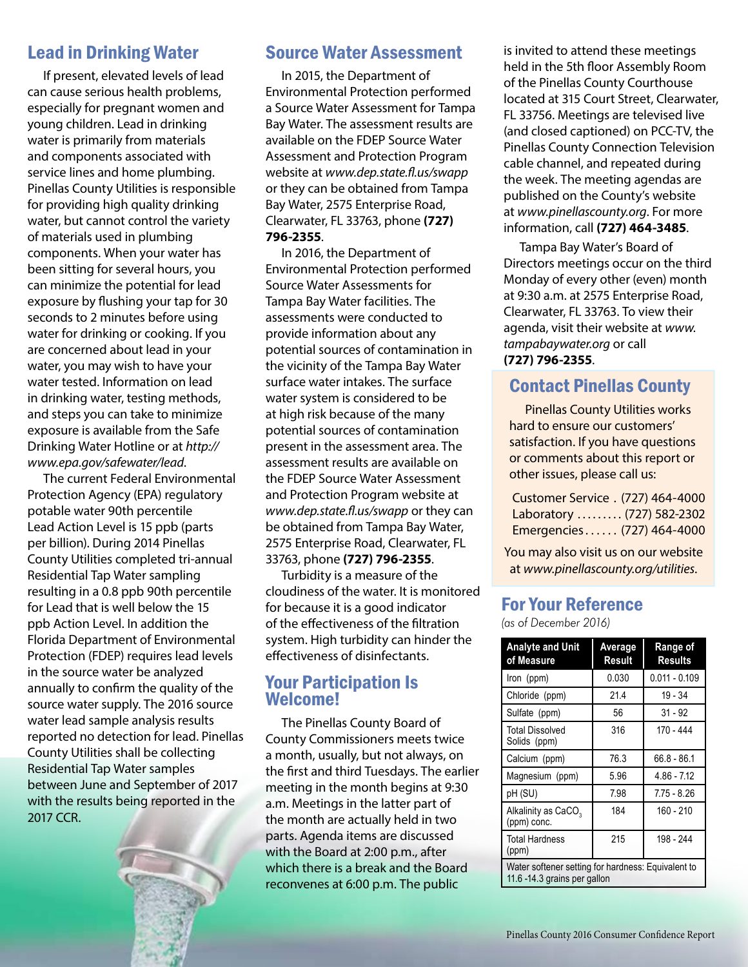## Lead in Drinking Water

If present, elevated levels of lead can cause serious health problems, especially for pregnant women and young children. Lead in drinking water is primarily from materials and components associated with service lines and home plumbing. Pinellas County Utilities is responsible for providing high quality drinking water, but cannot control the variety of materials used in plumbing components. When your water has been sitting for several hours, you can minimize the potential for lead exposure by flushing your tap for 30 seconds to 2 minutes before using water for drinking or cooking. If you are concerned about lead in your water, you may wish to have your water tested. Information on lead in drinking water, testing methods, and steps you can take to minimize exposure is available from the Safe Drinking Water Hotline or at *http:// www.epa.gov/safewater/lead*.

The current Federal Environmental Protection Agency (EPA) regulatory potable water 90th percentile Lead Action Level is 15 ppb (parts per billion). During 2014 Pinellas County Utilities completed tri-annual Residential Tap Water sampling resulting in a 0.8 ppb 90th percentile for Lead that is well below the 15 ppb Action Level. In addition the Florida Department of Environmental Protection (FDEP) requires lead levels in the source water be analyzed annually to confirm the quality of the source water supply. The 2016 source water lead sample analysis results reported no detection for lead. Pinellas County Utilities shall be collecting Residential Tap Water samples between June and September of 2017 with the results being reported in the 2017 CCR.

## Source Water Assessment

In 2015, the Department of Environmental Protection performed a Source Water Assessment for Tampa Bay Water. The assessment results are available on the FDEP Source Water Assessment and Protection Program website at *www.dep.state.fl.us/swapp* or they can be obtained from Tampa Bay Water, 2575 Enterprise Road, Clearwater, FL 33763, phone **(727) 796-2355**.

In 2016, the Department of Environmental Protection performed Source Water Assessments for Tampa Bay Water facilities. The assessments were conducted to provide information about any potential sources of contamination in the vicinity of the Tampa Bay Water surface water intakes. The surface water system is considered to be at high risk because of the many potential sources of contamination present in the assessment area. The assessment results are available on the FDEP Source Water Assessment and Protection Program website at *www.dep.state.fl.us/swapp* or they can be obtained from Tampa Bay Water, 2575 Enterprise Road, Clearwater, FL 33763, phone **(727) 796-2355**.

Turbidity is a measure of the cloudiness of the water. It is monitored for because it is a good indicator of the effectiveness of the filtration system. High turbidity can hinder the effectiveness of disinfectants.

### Your Participation Is Welcome!

The Pinellas County Board of County Commissioners meets twice a month, usually, but not always, on the first and third Tuesdays. The earlier meeting in the month begins at 9:30 a.m. Meetings in the latter part of the month are actually held in two parts. Agenda items are discussed with the Board at 2:00 p.m., after which there is a break and the Board reconvenes at 6:00 p.m. The public

is invited to attend these meetings held in the 5th floor Assembly Room of the Pinellas County Courthouse located at 315 Court Street, Clearwater, FL 33756. Meetings are televised live (and closed captioned) on PCC-TV, the Pinellas County Connection Television cable channel, and repeated during the week. The meeting agendas are published on the County's website at *www.pinellascounty.org*. For more information, call **(727) 464-3485**.

Tampa Bay Water's Board of Directors meetings occur on the third Monday of every other (even) month at 9:30 a.m. at 2575 Enterprise Road, Clearwater, FL 33763. To view their agenda, visit their website at *www. tampabaywater.org* or call **(727) 796-2355**.

# Contact Pinellas County

Pinellas County Utilities works hard to ensure our customers' satisfaction. If you have questions or comments about this report or other issues, please call us:

| Customer Service . (727) 464-4000 |  |
|-----------------------------------|--|
| Laboratory  (727) 582-2302        |  |
| Emergencies (727) 464-4000        |  |

You may also visit us on our website at *www.pinellascounty.org/utilities*.

## For Your Reference

*(as of December 2016)*

| <b>Analyte and Unit</b><br>of Measure                                              | Average<br>Result | Range of<br><b>Results</b> |  |  |
|------------------------------------------------------------------------------------|-------------------|----------------------------|--|--|
| Iron (ppm)                                                                         | 0.030             | $0.011 - 0.109$            |  |  |
| Chloride (ppm)                                                                     | 21.4              | $19 - 34$                  |  |  |
| Sulfate (ppm)                                                                      | 56                | $31 - 92$                  |  |  |
| <b>Total Dissolved</b><br>Solids (ppm)                                             | 316               | 170 - 444                  |  |  |
| Calcium (ppm)                                                                      | 76.3              | $66.8 - 86.1$              |  |  |
| Magnesium (ppm)                                                                    | 5.96              | $4.86 - 7.12$              |  |  |
| pH (SU)                                                                            | 7.98              | $7.75 - 8.26$              |  |  |
| Alkalinity as CaCO <sub>3</sub><br>(ppm) conc.                                     | 184               | 160 - 210                  |  |  |
| <b>Total Hardness</b><br>(ppm)                                                     | 215               | 198 - 244                  |  |  |
| Water softener setting for hardness: Equivalent to<br>11.6 -14.3 grains per gallon |                   |                            |  |  |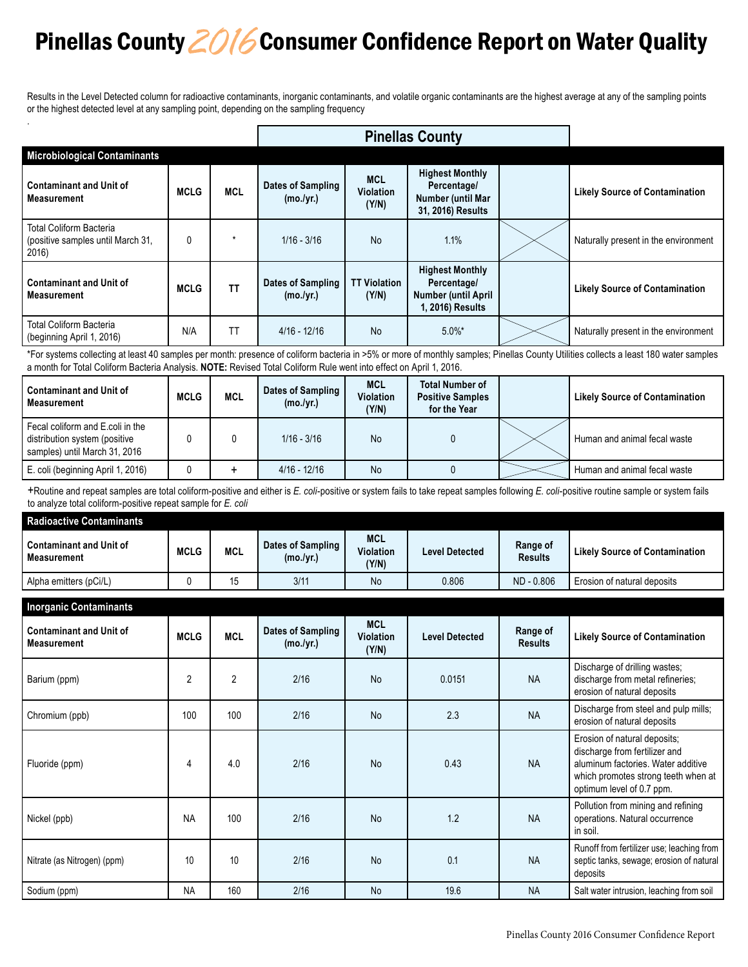# Pinellas County *2016* Consumer Confidence Report on Water Quality

Results in the Level Detected column for radioactive contaminants, inorganic contaminants, and volatile organic contaminants are the highest average at any of the sampling points or the highest detected level at any sampling point, depending on the sampling frequency

|                                                                              |              |            | <b>Pinellas County</b>         |                                         |                                                                                         |  |                                       |
|------------------------------------------------------------------------------|--------------|------------|--------------------------------|-----------------------------------------|-----------------------------------------------------------------------------------------|--|---------------------------------------|
| <b>Microbiological Contaminants</b>                                          |              |            |                                |                                         |                                                                                         |  |                                       |
| <b>Contaminant and Unit of</b><br><b>Measurement</b>                         | <b>MCLG</b>  | <b>MCL</b> | Dates of Sampling<br>(mo./yr.) | <b>MCL</b><br><b>Violation</b><br>(Y/N) | <b>Highest Monthly</b><br>Percentage/<br>Number (until Mar<br>31, 2016) Results         |  | <b>Likely Source of Contamination</b> |
| <b>Total Coliform Bacteria</b><br>(positive samples until March 31,<br>2016) | $\mathbf{0}$ | *          | $1/16 - 3/16$                  | <b>No</b>                               | 1.1%                                                                                    |  | Naturally present in the environment  |
| <b>Contaminant and Unit of</b><br><b>Measurement</b>                         | <b>MCLG</b>  | <b>TT</b>  | Dates of Sampling<br>(mo./yr.) | <b>TT Violation</b><br>(Y/N)            | <b>Highest Monthly</b><br>Percentage/<br><b>Number (until April</b><br>1, 2016) Results |  | <b>Likely Source of Contamination</b> |
| <b>Total Coliform Bacteria</b><br>(beginning April 1, 2016)                  | N/A          | <b>TT</b>  | $4/16 - 12/16$                 | <b>No</b>                               | $5.0\%$ *                                                                               |  | Naturally present in the environment  |

\*For systems collecting at least 40 samples per month: presence of coliform bacteria in >5% or more of monthly samples; Pinellas County Utilities collects a least 180 water samples a month for Total Coliform Bacteria Analysis. **NOTE:** Revised Total Coliform Rule went into effect on April 1, 2016.

| <b>Contaminant and Unit of</b><br>Measurement                                                      | <b>MCLG</b> | <b>MCL</b> | Dates of Sampling 1<br>(mo./yr.) | <b>MCL</b><br><b>Violation</b><br>(Y/N) | <b>Total Number of</b><br><b>Positive Samples</b><br>for the Year | <b>Likely Source of Contamination</b> |
|----------------------------------------------------------------------------------------------------|-------------|------------|----------------------------------|-----------------------------------------|-------------------------------------------------------------------|---------------------------------------|
| Fecal coliform and E.coli in the<br>distribution system (positive<br>samples) until March 31, 2016 |             |            | $1/16 - 3/16$                    | <b>No</b>                               |                                                                   | Human and animal fecal waste          |
| E. coli (beginning April 1, 2016)                                                                  |             |            | $4/16 - 12/16$                   | <b>No</b>                               |                                                                   | Human and animal fecal waste          |

+Routine and repeat samples are total coliform-positive and either is *E. coli*-positive or system fails to take repeat samples following *E. coli*-positive routine sample or system fails to analyze total coliform-positive repeat sample for *E. coli*

| Radioactive Contaminants                 |             |     |                                |                                         |                       |                            |                                       |  |  |
|------------------------------------------|-------------|-----|--------------------------------|-----------------------------------------|-----------------------|----------------------------|---------------------------------------|--|--|
| l Contaminant and Unit of<br>Measurement | <b>MCLG</b> | MCL | Dates of Sampling<br>(mo./yr.) | <b>MCL</b><br><b>Violation</b><br>(Y/N) | <b>Level Detected</b> | Range of<br><b>Results</b> | <b>Likely Source of Contamination</b> |  |  |
| Alpha emitters (pCi/L)                   |             | 15  | 3/11                           | No                                      | 0.806                 | ND - 0.806                 | Erosion of natural deposits           |  |  |

| <b>Inorganic Contaminants</b>                        |                |                |                                |                                         |                       |                            |                                                                                                                                                                         |  |
|------------------------------------------------------|----------------|----------------|--------------------------------|-----------------------------------------|-----------------------|----------------------------|-------------------------------------------------------------------------------------------------------------------------------------------------------------------------|--|
| <b>Contaminant and Unit of</b><br><b>Measurement</b> | <b>MCLG</b>    | <b>MCL</b>     | Dates of Sampling<br>(mo./yr.) | <b>MCL</b><br><b>Violation</b><br>(Y/N) | <b>Level Detected</b> | Range of<br><b>Results</b> | <b>Likely Source of Contamination</b>                                                                                                                                   |  |
| Barium (ppm)                                         | $\overline{2}$ | $\overline{2}$ | 2/16                           | <b>No</b>                               | 0.0151                | <b>NA</b>                  | Discharge of drilling wastes;<br>discharge from metal refineries;<br>erosion of natural deposits                                                                        |  |
| Chromium (ppb)                                       | 100            | 100            | 2/16                           | <b>No</b>                               | 2.3                   | <b>NA</b>                  | Discharge from steel and pulp mills;<br>erosion of natural deposits                                                                                                     |  |
| Fluoride (ppm)                                       | 4              | 4.0            | 2/16                           | <b>No</b>                               | 0.43                  | <b>NA</b>                  | Erosion of natural deposits;<br>discharge from fertilizer and<br>aluminum factories. Water additive<br>which promotes strong teeth when at<br>optimum level of 0.7 ppm. |  |
| Nickel (ppb)                                         | <b>NA</b>      | 100            | 2/16                           | <b>No</b>                               | 1.2                   | <b>NA</b>                  | Pollution from mining and refining<br>operations. Natural occurrence<br>in soil.                                                                                        |  |
| Nitrate (as Nitrogen) (ppm)                          | 10             | 10             | 2/16                           | <b>No</b>                               | 0.1                   | <b>NA</b>                  | Runoff from fertilizer use; leaching from<br>septic tanks, sewage; erosion of natural<br>deposits                                                                       |  |
| Sodium (ppm)                                         | <b>NA</b>      | 160            | 2/16                           | No                                      | 19.6                  | <b>NA</b>                  | Salt water intrusion, leaching from soil                                                                                                                                |  |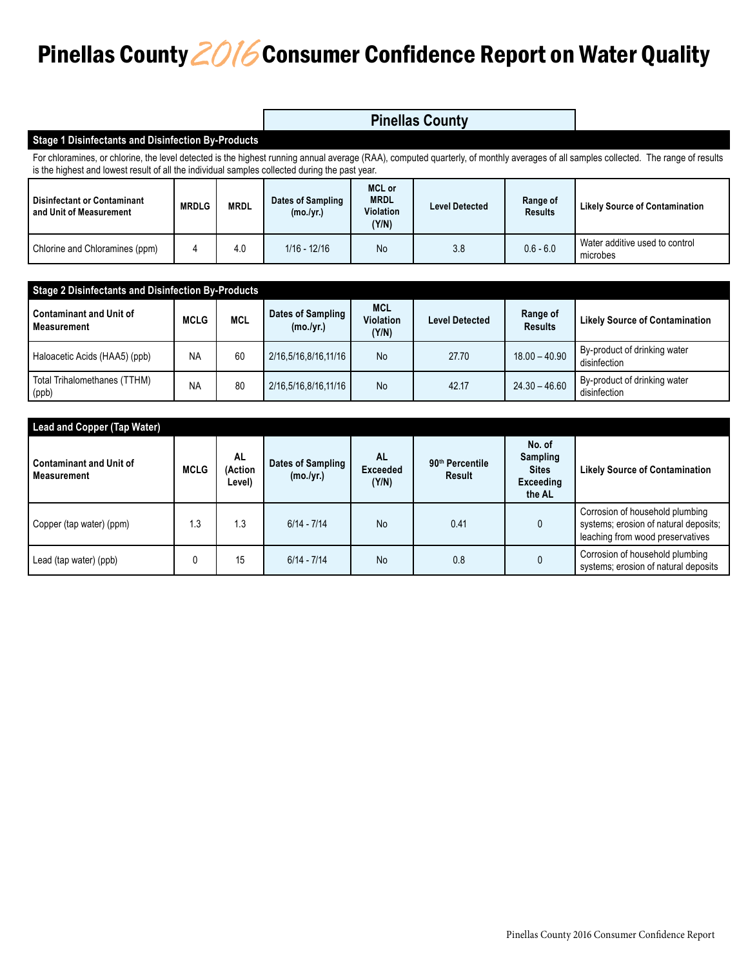# Pinellas County *2016* Consumer Confidence Report on Water Quality

|                                                                                                                                                                                                                                                                                        |              |             |                                | <b>Pinellas County</b>                             |                       |                            |                                            |  |  |
|----------------------------------------------------------------------------------------------------------------------------------------------------------------------------------------------------------------------------------------------------------------------------------------|--------------|-------------|--------------------------------|----------------------------------------------------|-----------------------|----------------------------|--------------------------------------------|--|--|
| <b>Stage 1 Disinfectants and Disinfection By-Products</b>                                                                                                                                                                                                                              |              |             |                                |                                                    |                       |                            |                                            |  |  |
| For chloramines, or chlorine, the level detected is the highest running annual average (RAA), computed quarterly, of monthly averages of all samples collected. The range of results<br>is the highest and lowest result of all the individual samples collected during the past year. |              |             |                                |                                                    |                       |                            |                                            |  |  |
| <b>Disinfectant or Contaminant</b><br>and Unit of Measurement                                                                                                                                                                                                                          | <b>MRDLG</b> | <b>MRDL</b> | Dates of Sampling<br>(mo./yr.) | <b>MCL or</b><br><b>MRDL</b><br>Violation<br>(Y/N) | <b>Level Detected</b> | Range of<br><b>Results</b> | <b>Likely Source of Contamination</b>      |  |  |
| Chlorine and Chloramines (ppm)                                                                                                                                                                                                                                                         | 4            | 4.0         | $1/16 - 12/16$                 | No                                                 | 3.8                   | $0.6 - 6.0$                | Water additive used to control<br>microbes |  |  |

| <b>Stage 2 Disinfectants and Disinfection By-Products</b> |             |            |                                |                                         |                       |                            |                                              |  |  |  |
|-----------------------------------------------------------|-------------|------------|--------------------------------|-----------------------------------------|-----------------------|----------------------------|----------------------------------------------|--|--|--|
| <b>Contaminant and Unit of</b><br><b>Measurement</b>      | <b>MCLG</b> | <b>MCL</b> | Dates of Sampling<br>(mo./yr.) | <b>MCL</b><br><b>Violation</b><br>(Y/N) | <b>Level Detected</b> | Range of<br><b>Results</b> | <b>Likely Source of Contamination</b>        |  |  |  |
| Haloacetic Acids (HAA5) (ppb)                             | <b>NA</b>   | 60         | 2/16,5/16,8/16,11/16           | <b>No</b>                               | 27.70                 | $18.00 - 40.90$            | By-product of drinking water<br>disinfection |  |  |  |
| Total Trihalomethanes (TTHM)<br>(ppb)                     | <b>NA</b>   | 80         | 2/16,5/16,8/16,11/16           | <b>No</b>                               | 42.17                 | $24.30 - 46.60$            | By-product of drinking water<br>disinfection |  |  |  |

| <b>Lead and Copper (Tap Water)</b>            |             |                                |                                |                                       |                                       |                                                           |                                                                                                              |  |  |
|-----------------------------------------------|-------------|--------------------------------|--------------------------------|---------------------------------------|---------------------------------------|-----------------------------------------------------------|--------------------------------------------------------------------------------------------------------------|--|--|
| <b>Contaminant and Unit of</b><br>Measurement | <b>MCLG</b> | <b>AL</b><br>(Action<br>Level) | Dates of Sampling<br>(mo./yr.) | <b>AL</b><br><b>Exceeded</b><br>(Y/N) | 90 <sup>th</sup> Percentile<br>Result | No. of<br>Sampling<br><b>Sites</b><br>Exceeding<br>the AL | <b>Likely Source of Contamination</b>                                                                        |  |  |
| Copper (tap water) (ppm)                      | 1.3         | 1.3                            | $6/14 - 7/14$                  | <b>No</b>                             | 0.41                                  | 0                                                         | Corrosion of household plumbing<br>systems; erosion of natural deposits;<br>leaching from wood preservatives |  |  |
| Lead (tap water) (ppb)                        | 0           | 15                             | $6/14 - 7/14$                  | <b>No</b>                             | 0.8                                   | 0                                                         | Corrosion of household plumbing<br>systems; erosion of natural deposits                                      |  |  |